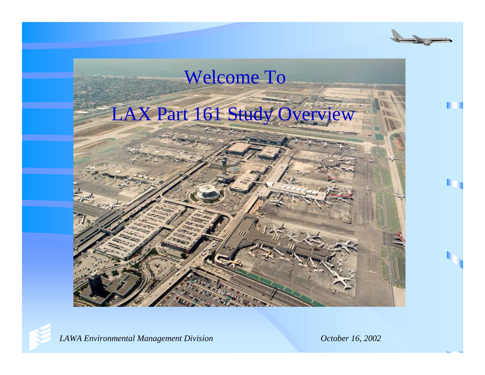



*LAWA Environmental Management Division October 16, 2002*

t,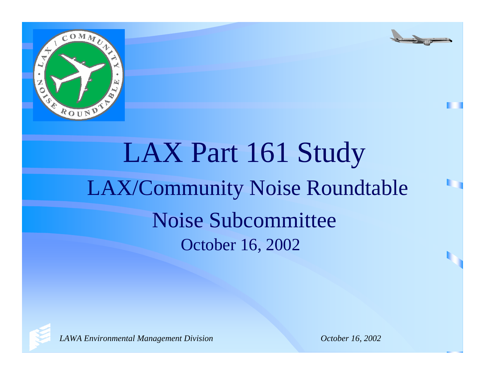



# LAX Part 161 Study LAX/Community Noise Roundtable Noise Subcommittee October 16, 2002

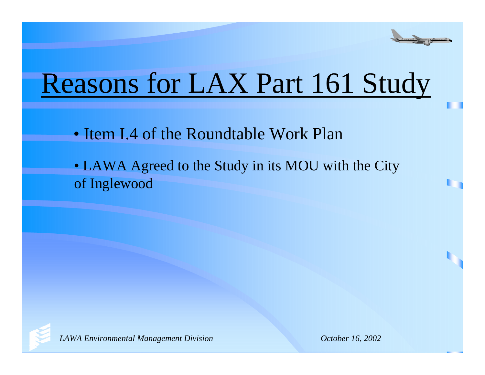

# Reasons for LAX Part 161 Study

- Item I.4 of the Roundtable Work Plan
- LAWA Agreed to the Study in its MOU with the City of Inglewood

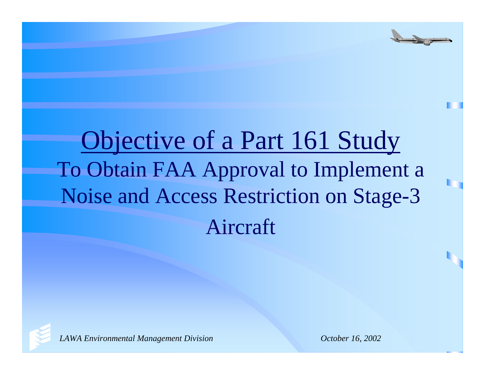# Objective of a Part 161 Study To Obtain FAA Approval to Implement a Noise and Access Restriction on Stage-3 Aircraft

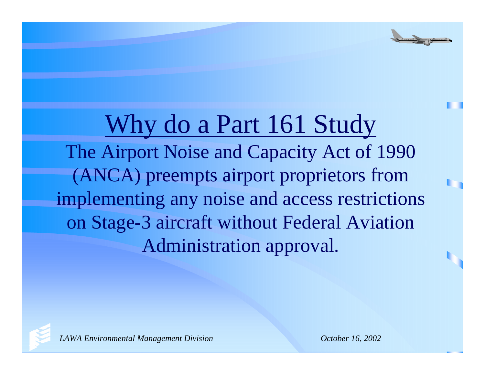Why do a Part 161 Study The Airport Noise and Capacity Act of 1990 (ANCA) preempts airport proprietors from implementing any noise and access restrictions on Stage-3 aircraft without Federal Aviation Administration approval.

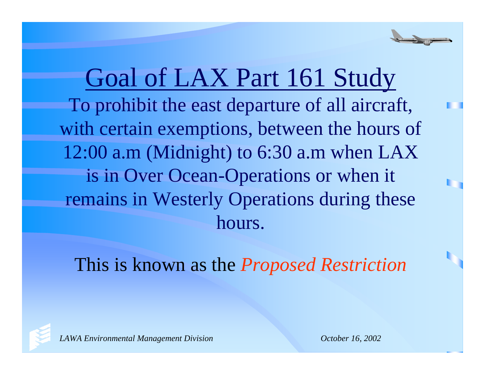Goal of LAX Part 161 Study To prohibit the east departure of all aircraft, with certain exemptions, between the hours of 12:00 a.m (Midnight) to 6:30 a.m when LAX is in Over Ocean-Operations or when it remains in Westerly Operations during these hours.

This is known as the *Proposed Restriction*

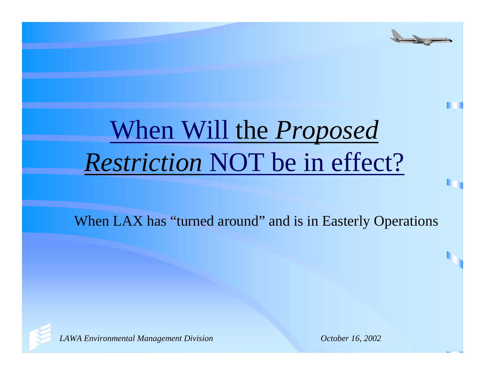# When Will the *Proposed Restriction* NOT be in effect?

When LAX has "turned around" and is in Easterly Operations

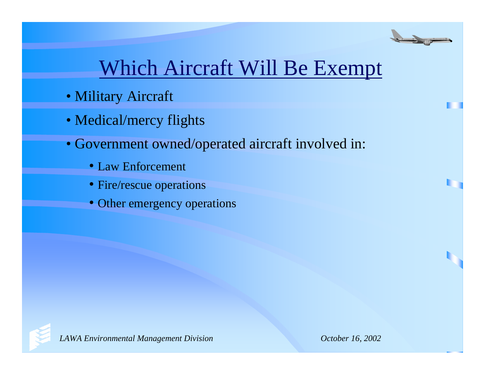

## Which Aircraft Will Be Exempt

- Military Aircraft
- Medical/mercy flights
- Government owned/operated aircraft involved in:
	- Law Enforcement
	- Fire/rescue operations
	- Other emergency operations

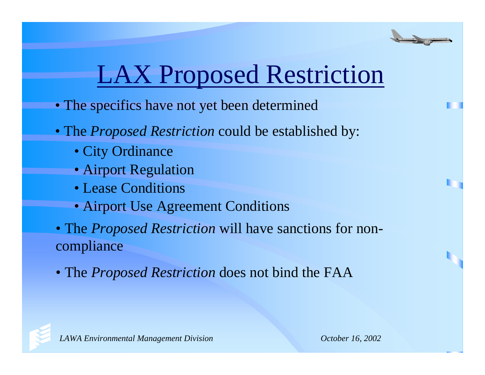# LAX Proposed Restriction

- The specifics have not yet been determined
- The *Proposed Restriction* could be established by:
	- City Ordinance
	- Airport Regulation
	- Lease Conditions
	- Airport Use Agreement Conditions
- The *Proposed Restriction* will have sanctions for noncompliance
- The *Proposed Restriction* does not bind the FAA

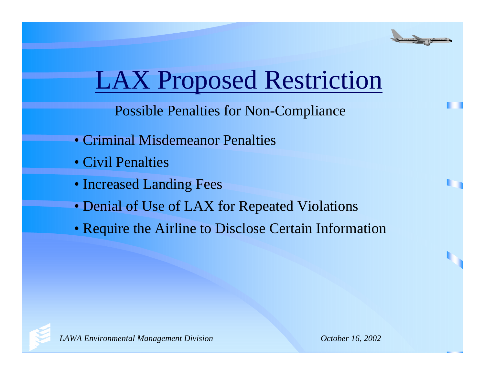

# LAX Proposed Restriction

Possible Penalties for Non-Compliance

- Criminal Misdemeanor Penalties
- Civil Penalties
- Increased Landing Fees
- Denial of Use of LAX for Repeated Violations
- Require the Airline to Disclose Certain Information

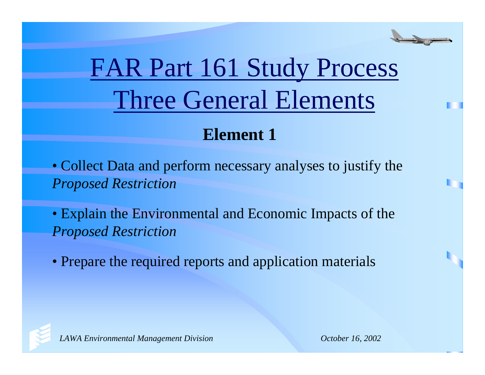

# FAR Part 161 Study Process Three General Elements

#### **Element 1**

• Collect Data and perform necessary analyses to justify the *Proposed Restriction*

• Explain the Environmental and Economic Impacts of the *Proposed Restriction*

• Prepare the required reports and application materials

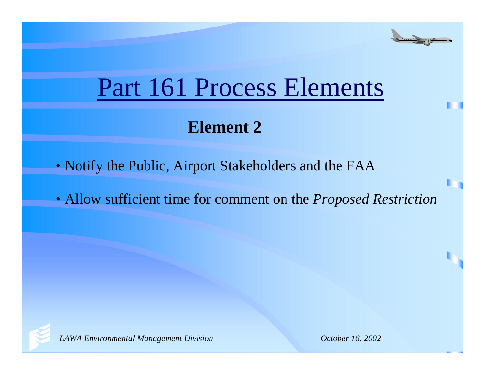

# Part 161 Process Elements

### **Element 2**

- Notify the Public, Airport Stakeholders and the FAA
- Allow sufficient time for comment on the *Proposed Restriction*

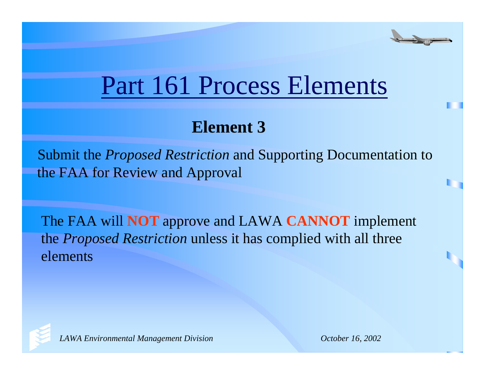

## Part 161 Process Elements

#### **Element 3**

Submit the *Proposed Restriction* and Supporting Documentation to the FAA for Review and Approval

The FAA will **NOT** approve and LAWA **CANNOT** implement the *Proposed Restriction* unless it has complied with all three elements

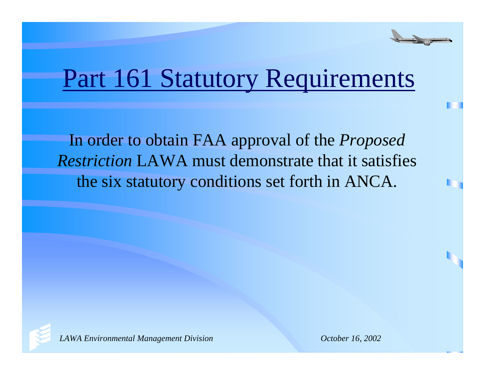

## Part 161 Statutory Requirements

In order to obtain FAA approval of the *Proposed Restriction* LAWA must demonstrate that it satisfies the six statutory conditions set forth in ANCA.

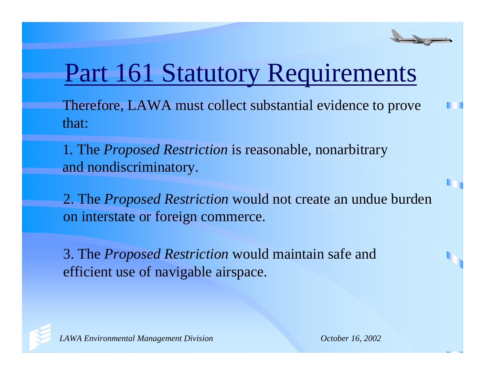

## Part 161 Statutory Requirements

Therefore, LAWA must collect substantial evidence to prove that:

1. The *Proposed Restriction* is reasonable, nonarbitrary and nondiscriminatory.

2. The *Proposed Restriction* would not create an undue burden on interstate or foreign commerce.

3. The *Proposed Restriction* would maintain safe and efficient use of navigable airspace.

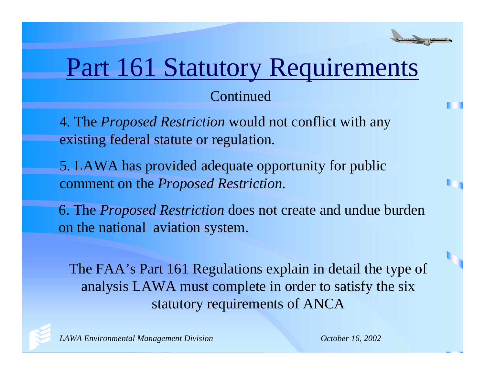# Part 161 Statutory Requirements

#### Continued

4. The *Proposed Restriction* would not conflict with any existing federal statute or regulation.

5. LAWA has provided adequate opportunity for public comment on the *Proposed Restriction*.

6. The *Proposed Restriction* does not create and undue burden on the national aviation system.

The FAA's Part 161 Regulations explain in detail the type of analysis LAWA must complete in order to satisfy the six statutory requirements of ANCA

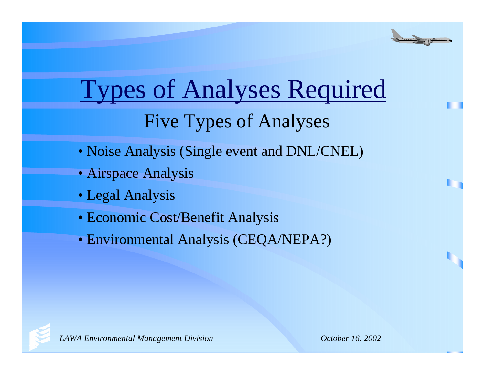

# Types of Analyses Required

### Five Types of Analyses

- Noise Analysis (Single event and DNL/CNEL)
- Airspace Analysis
- Legal Analysis
- Economic Cost/Benefit Analysis
- Environmental Analysis (CEQA/NEPA?)

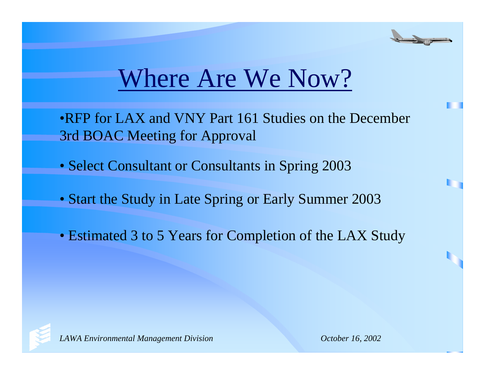

## Where Are We Now?

•RFP for LAX and VNY Part 161 Studies on the December 3rd BOAC Meeting for Approval

- Select Consultant or Consultants in Spring 2003
- Start the Study in Late Spring or Early Summer 2003
- Estimated 3 to 5 Years for Completion of the LAX Study

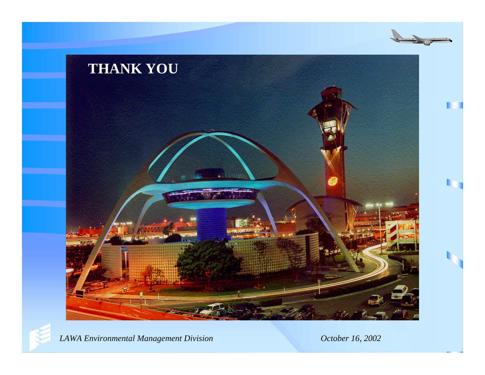